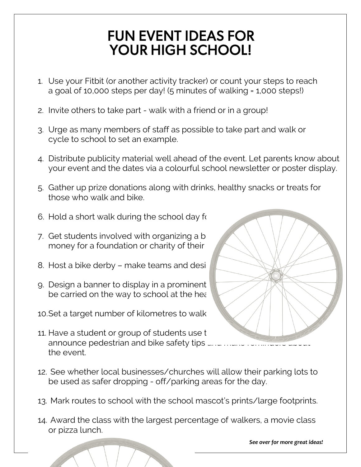## FUN EVENT IDEAS FOR YOUR HIGH SCHOOL!

- 1. Use your Fitbit (or another activity tracker) or count your steps to reach a goal of 10,000 steps per day! (5 minutes of walking = 1,000 steps!)
- 2. Invite others to take part walk with a friend or in a group!
- 3. Urge as many members of staff as possible to take part and walk or cycle to school to set an example.
- 4. Distribute publicity material well ahead of the event. Let parents know about your event and the dates via a colourful school newsletter or poster display.
- 5. Gather up prize donations along with drinks, healthy snacks or treats for those who walk and bike.
- 6. Hold a short walk during the school day for
- 7. Get students involved with organizing a b money for a foundation or charity of their
- 8. Host a bike derby make teams and design
- 9. Design a banner to display in a prominent be carried on the way to school at the head
- 10. Set a target number of kilometres to walk
- 11. Have a student or group of students use the state state state. announce pedestrian and bike safety tips  $\overline{a}$ the event.
- 12. See whether local businesses/churches will allow their parking lots to be used as safer dropping - off/parking areas for the day.
- 13. Mark routes to school with the school mascot's prints/large footprints.
- 14. Award the class with the largest percentage of walkers, a movie class or pizza lunch.